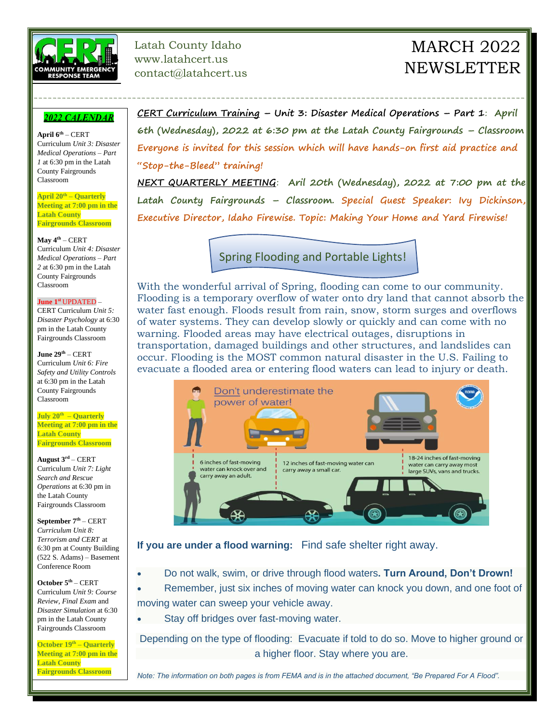

#### Latah County Idaho www.latahcert.us contact@latahcert.us

# MARCH 2022 **NEWSLETTER**

#### 2022 CALENDAR

**April 6th** – CERT Curriculum *Unit 3: Disaster Medical Operations – Part 1* at 6:30 pm in the Latah County Fairgrounds Classroom

**April 20th – Quarterly Meeting at 7:00 pm in the Latah County Fairgrounds Classroom**

**May 4th** – CERT Curriculum *Unit 4: Disaster Medical Operations – Part 2* at 6:30 pm in the Latah County Fairgrounds Classroom

#### **June 1 st** UPDATED –

CERT Curriculum *Unit 5: Disaster Psychology* at 6:30 pm in the Latah County Fairgrounds Classroom

**June 29th** – CERT Curriculum *Unit 6: Fire Safety and Utility Controls* at 6:30 pm in the Latah County Fairgrounds Classroom

**July 20th – Quarterly Meeting at 7:00 pm in the Latah County Fairgrounds Classroom**

**August 3rd** – CERT Curriculum *Unit 7: Light Search and Rescue Operations* at 6:30 pm in the Latah County Fairgrounds Classroom

**September 7th** – CERT *Curriculum Unit 8: Terrorism and CERT* at 6:30 pm at County Building (522 S. Adams) – Basement Conference Room

**October 5th** – CERT Curriculum *Unit 9: Course Review, Final Exam* and *Disaster Simulation* at 6:30 pm in the Latah County Fairgrounds Classroom

**October 19th – Quarterly Meeting at 7:00 pm in the Latah County Fairgrounds Classroom**

**CERT Curriculum Training – Unit 3: Disaster Medical Operations – Part 1**: **April 6th (Wednesday), 2022 at 6:30 pm at the Latah County Fairgrounds – Classroom Everyone is invited for this session which will have hands-on first aid practice and "Stop-the-Bleed" training!**

---------------------------------------------------------------------------------------------------------

**NEXT QUARTERLY MEETING**: **Aril 20th (Wednesday), 2022 at 7:00 pm at the Latah County Fairgrounds – Classroom. Special Guest Speaker: Ivy Dickinson, Executive Director, Idaho Firewise. Topic: Making Your Home and Yard Firewise!**

Spring Flooding and Portable Lights!

With the wonderful arrival of Spring, flooding can come to our community. Flooding is a temporary overflow of water onto dry land that cannot absorb the water fast enough. Floods result from rain, snow, storm surges and overflows of water systems. They can develop slowly or quickly and can come with no warning. Flooded areas may have electrical outages, disruptions in transportation, damaged buildings and other structures, and landslides can occur. Flooding is the MOST common natural disaster in the U.S. Failing to evacuate a flooded area or entering flood waters can lead to injury or death.



**If you are under a flood warning:** Find safe shelter right away.

• Do not walk, swim, or drive through flood waters**. Turn Around, Don't Drown!**

• Remember, just six inches of moving water can knock you down, and one foot of moving water can sweep your vehicle away.

Stay off bridges over fast-moving water.

Depending on the type of flooding: Evacuate if told to do so. Move to higher ground or a higher floor. Stay where you are.

*Note: The information on both pages is from FEMA and is in the attached document, "Be Prepared For A Flood".*